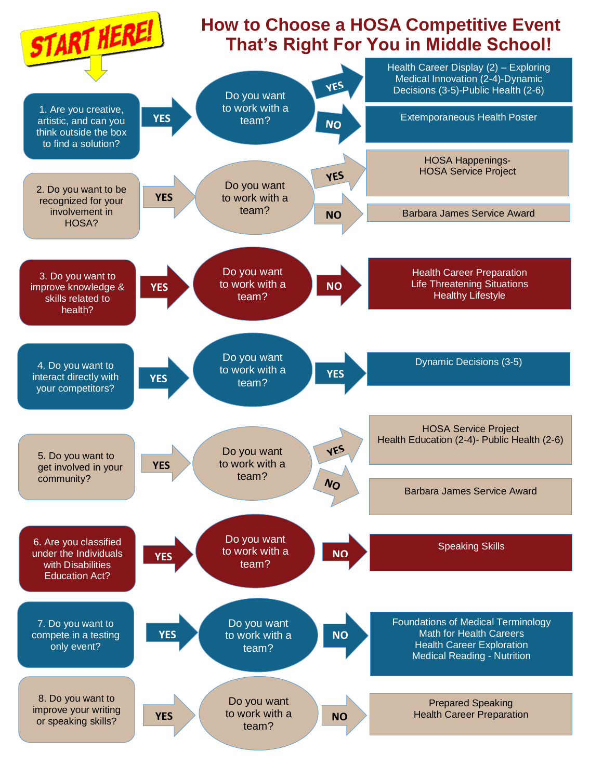